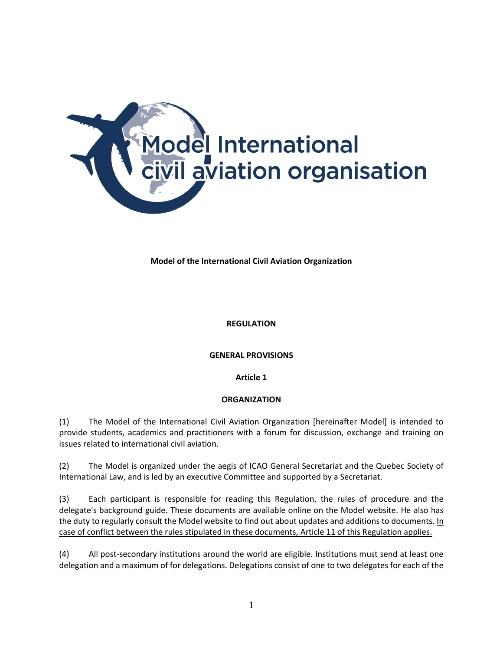

## **Model of the International Civil Aviation Organization**

#### **REGULATION**

#### **GENERAL PROVISIONS**

**Article 1**

### **ORGANIZATION**

(1) The Model of the International Civil Aviation Organization [hereinafter Model] is intended to provide students, academics and practitioners with a forum for discussion, exchange and training on issues related to international civil aviation.

(2) The Model is organized under the aegis of ICAO General Secretariat and the Quebec Society of International Law, and is led by an executive Committee and supported by a Secretariat.

(3) Each participant is responsible for reading this Regulation, the rules of procedure and the delegate's background guide. These documents are available online on the Model website. He also has the duty to regularly consult the Model website to find out about updates and additions to documents. In case of conflict between the rules stipulated in these documents, Article 11 of this Regulation applies.

(4) All post-secondary institutions around the world are eligible. Institutions must send at least one delegation and a maximum of for delegations. Delegations consist of one to two delegates for each of the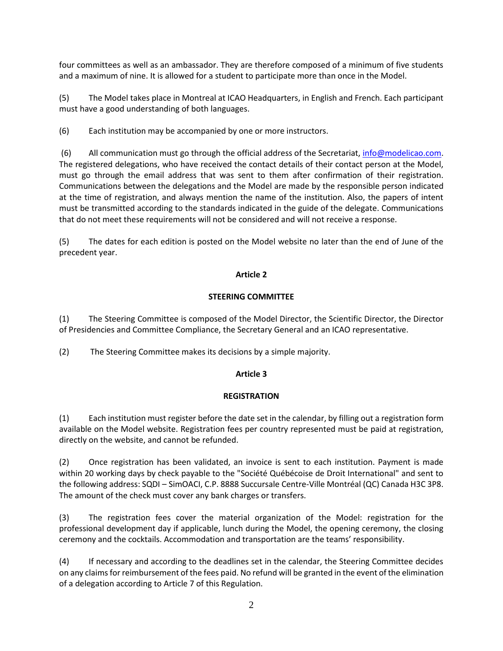four committees as well as an ambassador. They are therefore composed of a minimum of five students and a maximum of nine. It is allowed for a student to participate more than once in the Model.

(5) The Model takes place in Montreal at ICAO Headquarters, in English and French. Each participant must have a good understanding of both languages.

(6) Each institution may be accompanied by one or more instructors.

(6) All communication must go through the official address of the Secretariat, [info@modelicao.com.](mailto:info@modelicao.com) The registered delegations, who have received the contact details of their contact person at the Model, must go through the email address that was sent to them after confirmation of their registration. Communications between the delegations and the Model are made by the responsible person indicated at the time of registration, and always mention the name of the institution. Also, the papers of intent must be transmitted according to the standards indicated in the guide of the delegate. Communications that do not meet these requirements will not be considered and will not receive a response.

(5) The dates for each edition is posted on the Model website no later than the end of June of the precedent year.

### **Article 2**

## **STEERING COMMITTEE**

(1) The Steering Committee is composed of the Model Director, the Scientific Director, the Director of Presidencies and Committee Compliance, the Secretary General and an ICAO representative.

(2) The Steering Committee makes its decisions by a simple majority.

### **Article 3**

### **REGISTRATION**

(1) Each institution must register before the date set in the calendar, by filling out a registration form available on the Model website. Registration fees per country represented must be paid at registration, directly on the website, and cannot be refunded.

(2) Once registration has been validated, an invoice is sent to each institution. Payment is made within 20 working days by check payable to the "Société Québécoise de Droit International" and sent to the following address: SQDI – SimOACI, C.P. 8888 Succursale Centre-Ville Montréal (QC) Canada H3C 3P8. The amount of the check must cover any bank charges or transfers.

(3) The registration fees cover the material organization of the Model: registration for the professional development day if applicable, lunch during the Model, the opening ceremony, the closing ceremony and the cocktails. Accommodation and transportation are the teams' responsibility.

(4) If necessary and according to the deadlines set in the calendar, the Steering Committee decides on any claims for reimbursement of the fees paid. No refund will be granted in the event of the elimination of a delegation according to Article 7 of this Regulation.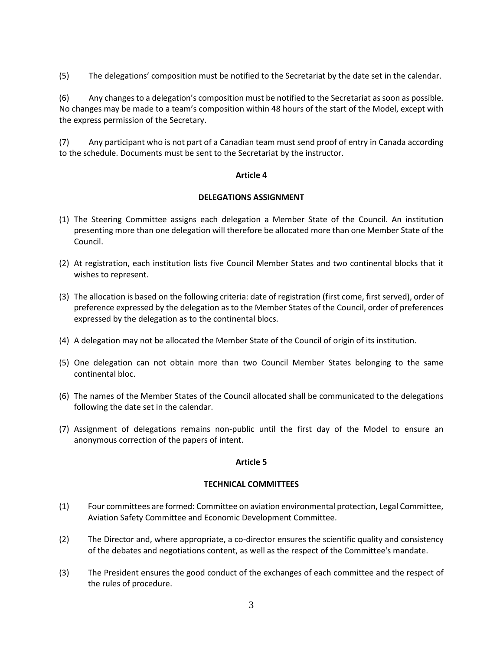(5) The delegations' composition must be notified to the Secretariat by the date set in the calendar.

(6) Any changes to a delegation's composition must be notified to the Secretariat as soon as possible. No changes may be made to a team's composition within 48 hours of the start of the Model, except with the express permission of the Secretary.

(7) Any participant who is not part of a Canadian team must send proof of entry in Canada according to the schedule. Documents must be sent to the Secretariat by the instructor.

### **Article 4**

#### **DELEGATIONS ASSIGNMENT**

- (1) The Steering Committee assigns each delegation a Member State of the Council. An institution presenting more than one delegation will therefore be allocated more than one Member State of the Council.
- (2) At registration, each institution lists five Council Member States and two continental blocks that it wishes to represent.
- (3) The allocation is based on the following criteria: date of registration (first come, first served), order of preference expressed by the delegation as to the Member States of the Council, order of preferences expressed by the delegation as to the continental blocs.
- (4) A delegation may not be allocated the Member State of the Council of origin of its institution.
- (5) One delegation can not obtain more than two Council Member States belonging to the same continental bloc.
- (6) The names of the Member States of the Council allocated shall be communicated to the delegations following the date set in the calendar.
- (7) Assignment of delegations remains non-public until the first day of the Model to ensure an anonymous correction of the papers of intent.

### **Article 5**

### **TECHNICAL COMMITTEES**

- (1) Four committees are formed: Committee on aviation environmental protection, Legal Committee, Aviation Safety Committee and Economic Development Committee.
- (2) The Director and, where appropriate, a co-director ensures the scientific quality and consistency of the debates and negotiations content, as well as the respect of the Committee's mandate.
- (3) The President ensures the good conduct of the exchanges of each committee and the respect of the rules of procedure.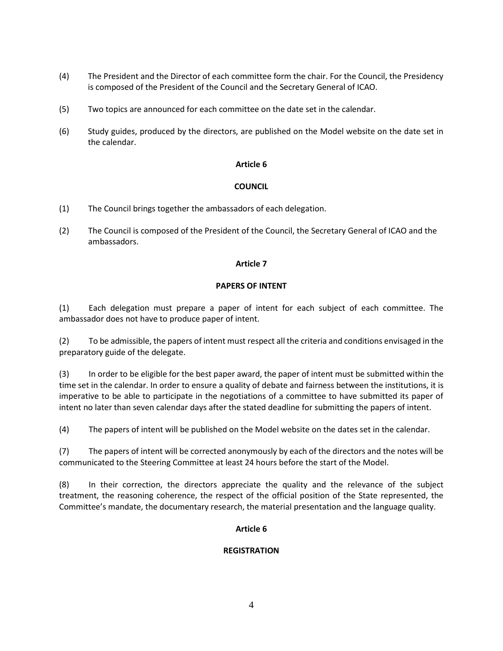- (4) The President and the Director of each committee form the chair. For the Council, the Presidency is composed of the President of the Council and the Secretary General of ICAO.
- (5) Two topics are announced for each committee on the date set in the calendar.
- (6) Study guides, produced by the directors, are published on the Model website on the date set in the calendar.

### **Article 6**

## **COUNCIL**

- (1) The Council brings together the ambassadors of each delegation.
- (2) The Council is composed of the President of the Council, the Secretary General of ICAO and the ambassadors.

## **Article 7**

### **PAPERS OF INTENT**

(1) Each delegation must prepare a paper of intent for each subject of each committee. The ambassador does not have to produce paper of intent.

(2) To be admissible, the papers of intent must respect all the criteria and conditions envisaged in the preparatory guide of the delegate.

(3) In order to be eligible for the best paper award, the paper of intent must be submitted within the time set in the calendar. In order to ensure a quality of debate and fairness between the institutions, it is imperative to be able to participate in the negotiations of a committee to have submitted its paper of intent no later than seven calendar days after the stated deadline for submitting the papers of intent.

(4) The papers of intent will be published on the Model website on the dates set in the calendar.

(7) The papers of intent will be corrected anonymously by each of the directors and the notes will be communicated to the Steering Committee at least 24 hours before the start of the Model.

(8) In their correction, the directors appreciate the quality and the relevance of the subject treatment, the reasoning coherence, the respect of the official position of the State represented, the Committee's mandate, the documentary research, the material presentation and the language quality.

# **Article 6**

# **REGISTRATION**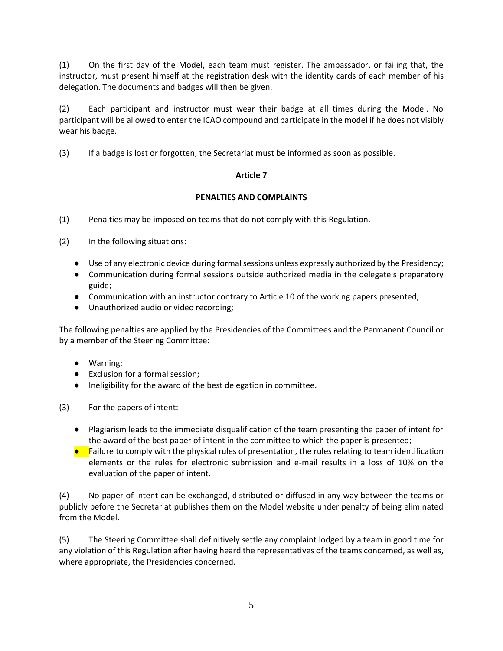(1) On the first day of the Model, each team must register. The ambassador, or failing that, the instructor, must present himself at the registration desk with the identity cards of each member of his delegation. The documents and badges will then be given.

(2) Each participant and instructor must wear their badge at all times during the Model. No participant will be allowed to enter the ICAO compound and participate in the model if he does not visibly wear his badge.

(3) If a badge is lost or forgotten, the Secretariat must be informed as soon as possible.

## **Article 7**

## **PENALTIES AND COMPLAINTS**

- (1) Penalties may be imposed on teams that do not comply with this Regulation.
- (2) In the following situations:
	- Use of any electronic device during formal sessions unless expressly authorized by the Presidency;
	- Communication during formal sessions outside authorized media in the delegate's preparatory guide;
	- Communication with an instructor contrary to Article 10 of the working papers presented;
	- Unauthorized audio or video recording;

The following penalties are applied by the Presidencies of the Committees and the Permanent Council or by a member of the Steering Committee:

- Warning;
- Exclusion for a formal session;
- Ineligibility for the award of the best delegation in committee.

(3) For the papers of intent:

- Plagiarism leads to the immediate disqualification of the team presenting the paper of intent for the award of the best paper of intent in the committee to which the paper is presented;
- Failure to comply with the physical rules of presentation, the rules relating to team identification elements or the rules for electronic submission and e-mail results in a loss of 10% on the evaluation of the paper of intent.

(4) No paper of intent can be exchanged, distributed or diffused in any way between the teams or publicly before the Secretariat publishes them on the Model website under penalty of being eliminated from the Model.

(5) The Steering Committee shall definitively settle any complaint lodged by a team in good time for any violation of this Regulation after having heard the representatives of the teams concerned, as well as, where appropriate, the Presidencies concerned.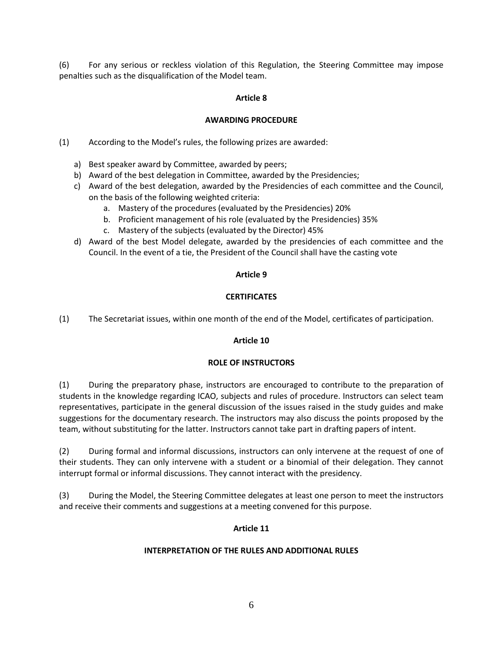(6) For any serious or reckless violation of this Regulation, the Steering Committee may impose penalties such as the disqualification of the Model team.

### **Article 8**

## **AWARDING PROCEDURE**

(1) According to the Model's rules, the following prizes are awarded:

- a) Best speaker award by Committee, awarded by peers;
- b) Award of the best delegation in Committee, awarded by the Presidencies;
- c) Award of the best delegation, awarded by the Presidencies of each committee and the Council, on the basis of the following weighted criteria:
	- a. Mastery of the procedures (evaluated by the Presidencies) 20%
	- b. Proficient management of his role (evaluated by the Presidencies) 35%
	- c. Mastery of the subjects (evaluated by the Director) 45%
- d) Award of the best Model delegate, awarded by the presidencies of each committee and the Council. In the event of a tie, the President of the Council shall have the casting vote

### **Article 9**

## **CERTIFICATES**

(1) The Secretariat issues, within one month of the end of the Model, certificates of participation.

### **Article 10**

### **ROLE OF INSTRUCTORS**

(1) During the preparatory phase, instructors are encouraged to contribute to the preparation of students in the knowledge regarding ICAO, subjects and rules of procedure. Instructors can select team representatives, participate in the general discussion of the issues raised in the study guides and make suggestions for the documentary research. The instructors may also discuss the points proposed by the team, without substituting for the latter. Instructors cannot take part in drafting papers of intent.

(2) During formal and informal discussions, instructors can only intervene at the request of one of their students. They can only intervene with a student or a binomial of their delegation. They cannot interrupt formal or informal discussions. They cannot interact with the presidency.

(3) During the Model, the Steering Committee delegates at least one person to meet the instructors and receive their comments and suggestions at a meeting convened for this purpose.

# **Article 11**

### **INTERPRETATION OF THE RULES AND ADDITIONAL RULES**